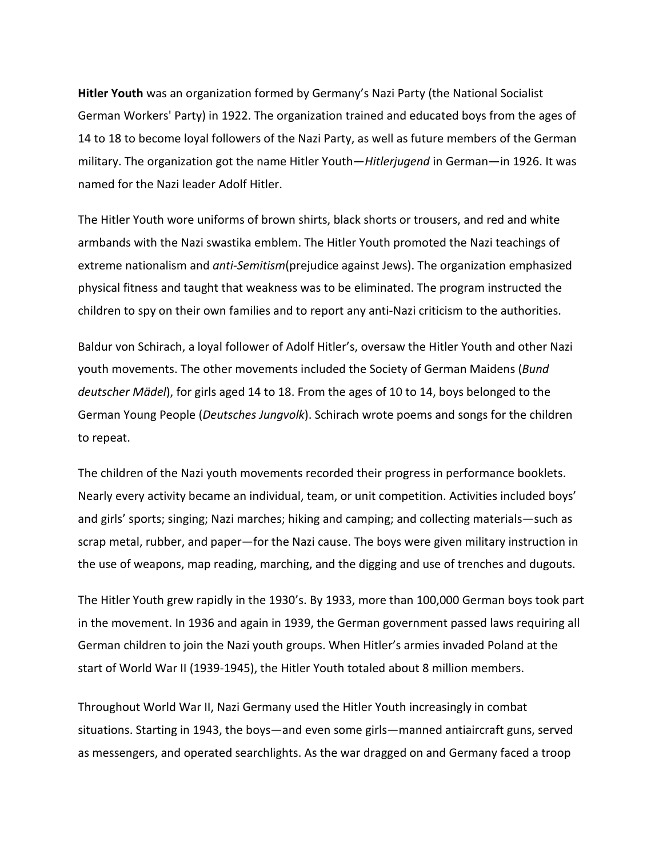**Hitler Youth** was an organization formed by Germany's Nazi Party (the National Socialist German Workers' Party) in 1922. The organization trained and educated boys from the ages of 14 to 18 to become loyal followers of the Nazi Party, as well as future members of the German military. The organization got the name Hitler Youth—*Hitlerjugend* in German—in 1926. It was named for the Nazi leader Adolf Hitler.

The Hitler Youth wore uniforms of brown shirts, black shorts or trousers, and red and white armbands with the Nazi swastika emblem. The Hitler Youth promoted the Nazi teachings of extreme nationalism and *anti-Semitism*(prejudice against Jews). The organization emphasized physical fitness and taught that weakness was to be eliminated. The program instructed the children to spy on their own families and to report any anti-Nazi criticism to the authorities.

Baldur von Schirach, a loyal follower of Adolf Hitler's, oversaw the Hitler Youth and other Nazi youth movements. The other movements included the Society of German Maidens (*Bund deutscher Mädel*), for girls aged 14 to 18. From the ages of 10 to 14, boys belonged to the German Young People (*Deutsches Jungvolk*). Schirach wrote poems and songs for the children to repeat.

The children of the Nazi youth movements recorded their progress in performance booklets. Nearly every activity became an individual, team, or unit competition. Activities included boys' and girls' sports; singing; Nazi marches; hiking and camping; and collecting materials—such as scrap metal, rubber, and paper—for the Nazi cause. The boys were given military instruction in the use of weapons, map reading, marching, and the digging and use of trenches and dugouts.

The Hitler Youth grew rapidly in the 1930's. By 1933, more than 100,000 German boys took part in the movement. In 1936 and again in 1939, the German government passed laws requiring all German children to join the Nazi youth groups. When Hitler's armies invaded Poland at the start of World War II (1939-1945), the Hitler Youth totaled about 8 million members.

Throughout World War II, Nazi Germany used the Hitler Youth increasingly in combat situations. Starting in 1943, the boys—and even some girls—manned antiaircraft guns, served as messengers, and operated searchlights. As the war dragged on and Germany faced a troop